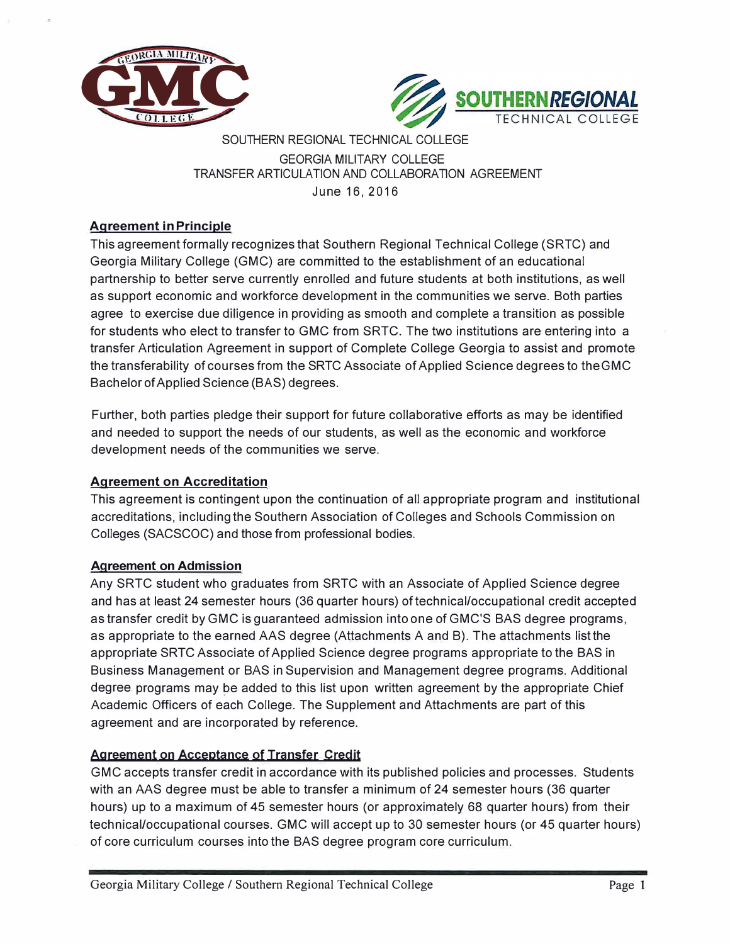



## SOUTHERN REGIONAL TECHNICAL COLLEGE GEORGIA MILITARY COLLEGE TRANSFER ARTICULATION AND COLLABORATION AGREEMENT June 16, 2016

## **Agreement in Principle**

This agreement formally recognizes that Southern Regional Technical College (SRTC) and Georgia Military College (GMC) are committed to the establishment of an educational partnership to better serve currently enrolled and future students at both institutions, as well as support economic and workforce development in the communities we serve. Both parties agree to exercise due diligence in providing as smooth and complete a transition as possible for students who elect to transfer to GMC from SRTC. The two institutions are entering into a transfer Articulation Agreement in support of Complete College Georgia to assist and promote the transferability of courses from the SRTC Associate of Applied Science degrees to the GMC Bachelor of Applied Science (BAS) degrees.

Further, both parties pledge their support for future collaborative efforts as may be identified and needed to support the needs of our students, as well as the economic and workforce development needs of the communities we serve.

#### **Agreement on Accreditation**

This agreement is contingent upon the continuation of all appropriate program and institutional accreditations, including the Southern Association of Colleges and Schools Commission on Colleges (SACSCOC) and those from professional bodies.

#### **Agreement on Admission**

Any SRTC student who graduates from SRTC with an Associate of Applied Science degree and has at least 24 semester hours (36 quarter hours) of technical/occupational credit accepted as transfer credit by GMC is guaranteed admission into one of GMC'S BAS degree programs, as appropriate to the earned AAS degree (Attachments A and B). The attachments list the appropriate SRTC Associate of Applied Science degree programs appropriate to the BAS in Business Management or BAS in Supervision and Management degree programs. Additional degree programs may be added to this list upon written agreement by the appropriate Chief Academic Officers of each College. The Supplement and Attachments are part of this agreement and are incorporated by reference.

#### **Agreement on Acceptance of Transfer Credit**

GMC accepts transfer credit in accordance with its published policies and processes. Students with an AAS degree must be able to transfer a minimum of 24 semester hours (36 quarter hours) up to a maximum of 45 semester hours (or approximately 68 quarter hours) from their technical/occupational courses. GMC will accept up to 30 semester hours (or 45 quarter hours) of core curriculum courses into the BAS degree program core curriculum.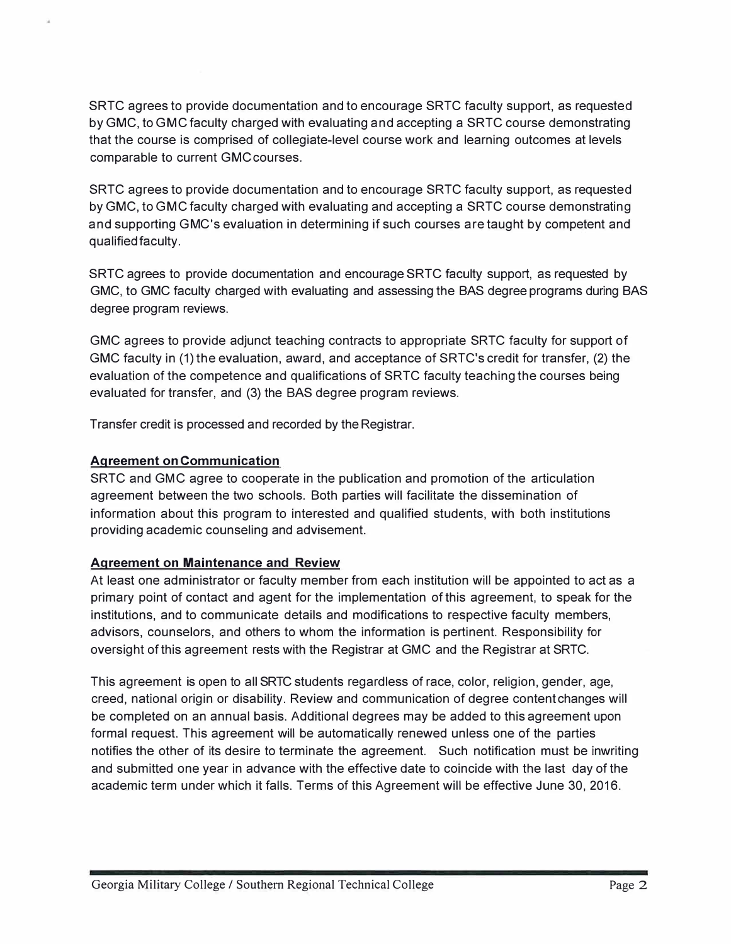SRTC agrees to provide documentation and to encourage SRTC faculty support, as requested by GMC, to GMC faculty charged with evaluating and accepting a SRTC course demonstrating that the course is comprised of collegiate-level course work and learning outcomes at levels comparable to current GMCcourses.

SRTC agrees to provide documentation and to encourage SRTC faculty support, as requested by GMC, to GMC faculty charged with evaluating and accepting a SRTC course demonstrating and supporting GMC's evaluation in determining if such courses are taught by competent and qualified faculty.

SRTC agrees to provide documentation and encourage SRTC faculty support, as requested by GMC, to GMC faculty charged with evaluating and assessing the BAS degree programs during BAS degree program reviews.

GMC agrees to provide adjunct teaching contracts to appropriate SRTC faculty for support of GMC faculty in (1) the evaluation, award, and acceptance of SRTC's credit for transfer, (2) the evaluation of the competence and qualifications of SRTC faculty teaching the courses being evaluated for transfer, and (3) the BAS degree program reviews.

Transfer credit is processed and recorded by the Registrar.

#### **Agreement on Communication**

SRTC and GMC agree to cooperate in the publication and promotion of the articulation agreement between the two schools. Both parties will facilitate the dissemination of information about this program to interested and qualified students, with both institutions providing academic counseling and advisement.

#### **Agreement on Maintenance and Review**

At least one administrator or faculty member from each institution will be appointed to act as a primary point of contact and agent for the implementation of this agreement, to speak for the institutions, and to communicate details and modifications to respective faculty members, advisors, counselors, and others to whom the information is pertinent. Responsibility for oversight of this agreement rests with the Registrar at GMC and the Registrar at SRTC.

This agreement is open to all SRTC students regardless of race, color, religion, gender, age, creed, national origin or disability. Review and communication of degree content changes will be completed on an annual basis. Additional degrees may be added to this agreement upon formal request. This agreement will be automatically renewed unless one of the parties notifies the other of its desire to terminate the agreement. Such notification must be inwriting and submitted one year in advance with the effective date to coincide with the last day of the academic term under which it falls. Terms of this Agreement will be effective June 30, 2016.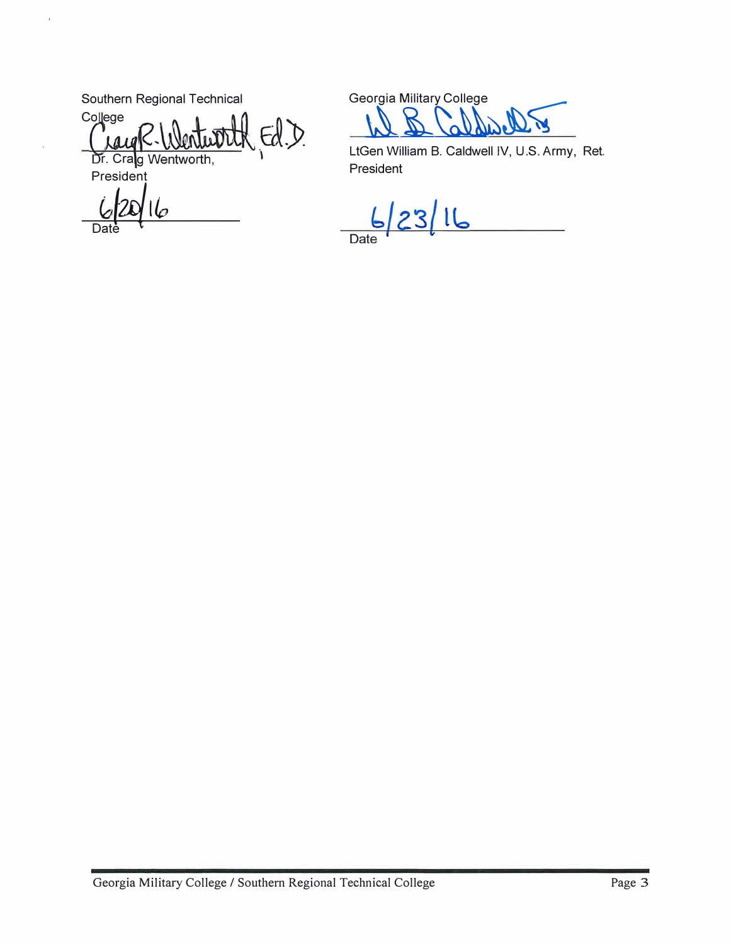Southern Regional Technical

 $\alpha$ 

College  $EdD$ Dr. Crag Wentworth,

President

Date

Georgia Military College  $\breve{\phantom{a}}$ 

LtGen William B. Caldwell IV, U.S. Army, Ret. President

 $6/23/16$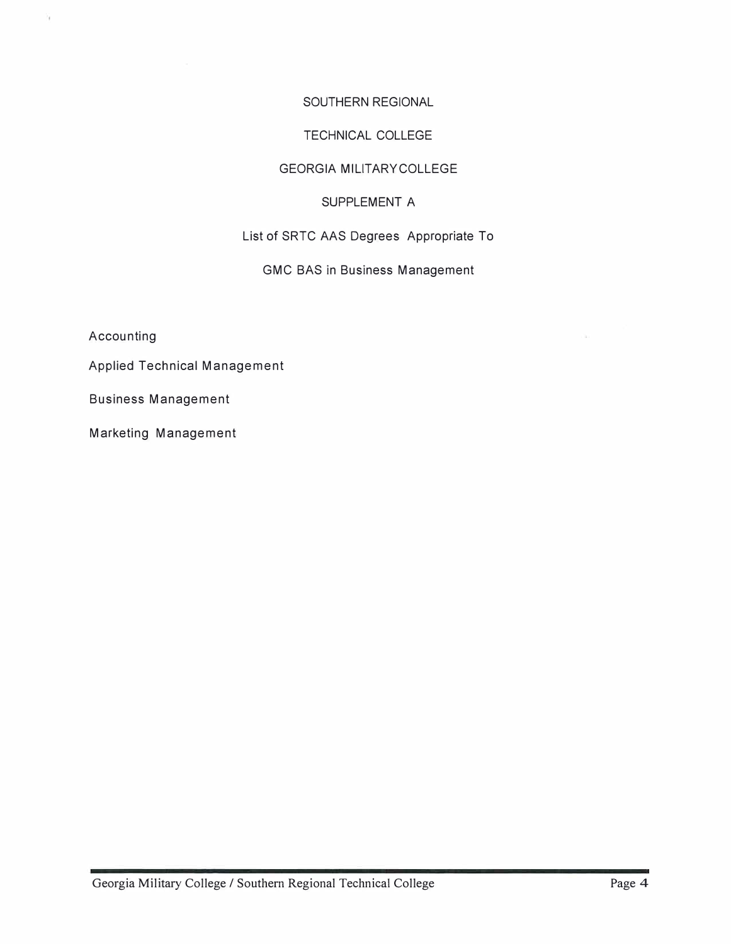#### SOUTHERN REGIONAL

#### TECHNICAL COLLEGE

#### GEORGIA MILITARYCOLLEGE

#### SUPPLEMENT A

# List of SRTC AAS Degrees Appropriate To

# GMC BAS in Business Management

Accounting

¥

Applied Technical Management

Business Management

Marketing Management